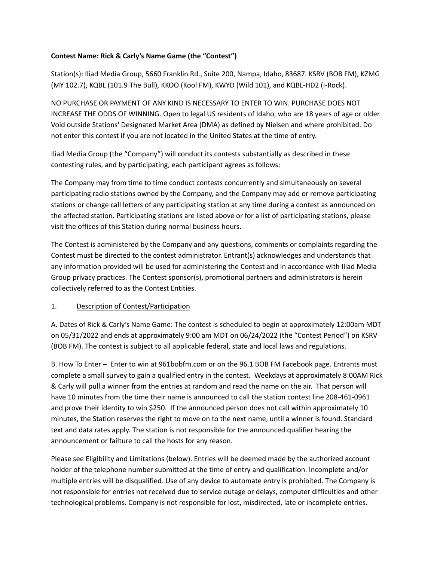## **Contest Name: Rick & Carly's Name Game (the "Contest")**

Station(s): Iliad Media Group, 5660 Franklin Rd., Suite 200, Nampa, Idaho, 83687. KSRV (BOB FM), KZMG (MY 102.7), KQBL (101.9 The Bull), KKOO (Kool FM), KWYD (Wild 101), and KQBL-HD2 (I-Rock).

NO PURCHASE OR PAYMENT OF ANY KIND IS NECESSARY TO ENTER TO WIN. PURCHASE DOES NOT INCREASE THE ODDS OF WINNING. Open to legal US residents of Idaho, who are 18 years of age or older. Void outside Stations' Designated Market Area (DMA) as defined by Nielsen and where prohibited. Do not enter this contest if you are not located in the United States at the time of entry.

Iliad Media Group (the "Company") will conduct its contests substantially as described in these contesting rules, and by participating, each participant agrees as follows:

The Company may from time to time conduct contests concurrently and simultaneously on several participating radio stations owned by the Company, and the Company may add or remove participating stations or change call letters of any participating station at any time during a contest as announced on the affected station. Participating stations are listed above or for a list of participating stations, please visit the offices of this Station during normal business hours.

The Contest is administered by the Company and any questions, comments or complaints regarding the Contest must be directed to the contest administrator. Entrant(s) acknowledges and understands that any information provided will be used for administering the Contest and in accordance with Iliad Media Group privacy practices. The Contest sponsor(s), promotional partners and administrators is herein collectively referred to as the Contest Entities.

## 1. Description of Contest/Participation

A. Dates of Rick & Carly's Name Game: The contest is scheduled to begin at approximately 12:00am MDT on 05/31/2022 and ends at approximately 9:00 am MDT on 06/24/2022 (the "Contest Period") on KSRV (BOB FM). The contest is subject to all applicable federal, state and local laws and regulations.

B. How To Enter – Enter to win at 961bobfm.com or on the 96.1 BOB FM Facebook page. Entrants must complete a small survey to gain a qualified entry in the contest. Weekdays at approximately 8:00AM Rick & Carly will pull a winner from the entries at random and read the name on the air. That person will have 10 minutes from the time their name is announced to call the station contest line 208-461-0961 and prove their identity to win \$250. If the announced person does not call within approximately 10 minutes, the Station reserves the right to move on to the next name, until a winner is found. Standard text and data rates apply. The station is not responsible for the announced qualifier hearing the announcement or failture to call the hosts for any reason.

Please see Eligibility and Limitations (below). Entries will be deemed made by the authorized account holder of the telephone number submitted at the time of entry and qualification. Incomplete and/or multiple entries will be disqualified. Use of any device to automate entry is prohibited. The Company is not responsible for entries not received due to service outage or delays, computer difficulties and other technological problems. Company is not responsible for lost, misdirected, late or incomplete entries.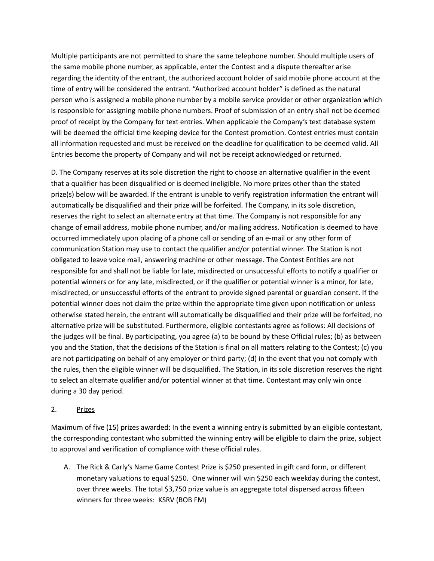Multiple participants are not permitted to share the same telephone number. Should multiple users of the same mobile phone number, as applicable, enter the Contest and a dispute thereafter arise regarding the identity of the entrant, the authorized account holder of said mobile phone account at the time of entry will be considered the entrant. "Authorized account holder" is defined as the natural person who is assigned a mobile phone number by a mobile service provider or other organization which is responsible for assigning mobile phone numbers. Proof of submission of an entry shall not be deemed proof of receipt by the Company for text entries. When applicable the Company's text database system will be deemed the official time keeping device for the Contest promotion. Contest entries must contain all information requested and must be received on the deadline for qualification to be deemed valid. All Entries become the property of Company and will not be receipt acknowledged or returned.

D. The Company reserves at its sole discretion the right to choose an alternative qualifier in the event that a qualifier has been disqualified or is deemed ineligible. No more prizes other than the stated prize(s) below will be awarded. If the entrant is unable to verify registration information the entrant will automatically be disqualified and their prize will be forfeited. The Company, in its sole discretion, reserves the right to select an alternate entry at that time. The Company is not responsible for any change of email address, mobile phone number, and/or mailing address. Notification is deemed to have occurred immediately upon placing of a phone call or sending of an e-mail or any other form of communication Station may use to contact the qualifier and/or potential winner. The Station is not obligated to leave voice mail, answering machine or other message. The Contest Entities are not responsible for and shall not be liable for late, misdirected or unsuccessful efforts to notify a qualifier or potential winners or for any late, misdirected, or if the qualifier or potential winner is a minor, for late, misdirected, or unsuccessful efforts of the entrant to provide signed parental or guardian consent. If the potential winner does not claim the prize within the appropriate time given upon notification or unless otherwise stated herein, the entrant will automatically be disqualified and their prize will be forfeited, no alternative prize will be substituted. Furthermore, eligible contestants agree as follows: All decisions of the judges will be final. By participating, you agree (a) to be bound by these Official rules; (b) as between you and the Station, that the decisions of the Station is final on all matters relating to the Contest; (c) you are not participating on behalf of any employer or third party; (d) in the event that you not comply with the rules, then the eligible winner will be disqualified. The Station, in its sole discretion reserves the right to select an alternate qualifier and/or potential winner at that time. Contestant may only win once during a 30 day period.

## 2. Prizes

Maximum of five (15) prizes awarded: In the event a winning entry is submitted by an eligible contestant, the corresponding contestant who submitted the winning entry will be eligible to claim the prize, subject to approval and verification of compliance with these official rules.

A. The Rick & Carly's Name Game Contest Prize is \$250 presented in gift card form, or different monetary valuations to equal \$250. One winner will win \$250 each weekday during the contest, over three weeks. The total \$3,750 prize value is an aggregate total dispersed across fifteen winners for three weeks: KSRV (BOB FM)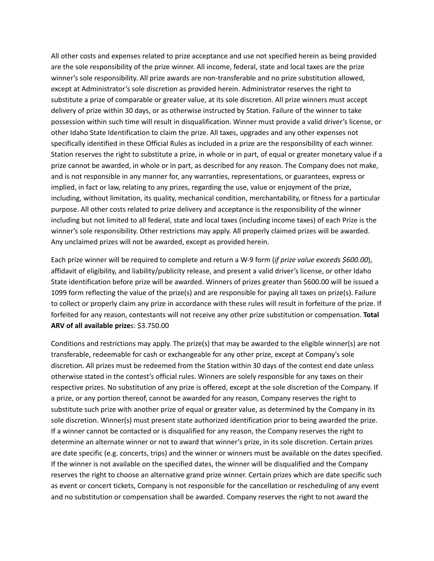All other costs and expenses related to prize acceptance and use not specified herein as being provided are the sole responsibility of the prize winner. All income, federal, state and local taxes are the prize winner's sole responsibility. All prize awards are non-transferable and no prize substitution allowed, except at Administrator's sole discretion as provided herein. Administrator reserves the right to substitute a prize of comparable or greater value, at its sole discretion. All prize winners must accept delivery of prize within 30 days, or as otherwise instructed by Station. Failure of the winner to take possession within such time will result in disqualification. Winner must provide a valid driver's license, or other Idaho State Identification to claim the prize. All taxes, upgrades and any other expenses not specifically identified in these Official Rules as included in a prize are the responsibility of each winner. Station reserves the right to substitute a prize, in whole or in part, of equal or greater monetary value if a prize cannot be awarded, in whole or in part, as described for any reason. The Company does not make, and is not responsible in any manner for, any warranties, representations, or guarantees, express or implied, in fact or law, relating to any prizes, regarding the use, value or enjoyment of the prize, including, without limitation, its quality, mechanical condition, merchantability, or fitness for a particular purpose. All other costs related to prize delivery and acceptance is the responsibility of the winner including but not limited to all federal, state and local taxes (including income taxes) of each Prize is the winner's sole responsibility. Other restrictions may apply. All properly claimed prizes will be awarded. Any unclaimed prizes will not be awarded, except as provided herein.

Each prize winner will be required to complete and return a W-9 form (*if prize value exceeds \$600.00*), affidavit of eligibility, and liability/publicity release, and present a valid driver's license, or other Idaho State identification before prize will be awarded. Winners of prizes greater than \$600.00 will be issued a 1099 form reflecting the value of the prize(s) and are responsible for paying all taxes on prize(s). Failure to collect or properly claim any prize in accordance with these rules will result in forfeiture of the prize. If forfeited for any reason, contestants will not receive any other prize substitution or compensation. **Total ARV of all available prize**s: \$3.750.00

Conditions and restrictions may apply. The prize(s) that may be awarded to the eligible winner(s) are not transferable, redeemable for cash or exchangeable for any other prize, except at Company's sole discretion. All prizes must be redeemed from the Station within 30 days of the contest end date unless otherwise stated in the contest's official rules. Winners are solely responsible for any taxes on their respective prizes. No substitution of any prize is offered, except at the sole discretion of the Company. If a prize, or any portion thereof, cannot be awarded for any reason, Company reserves the right to substitute such prize with another prize of equal or greater value, as determined by the Company in its sole discretion. Winner(s) must present state authorized identification prior to being awarded the prize. If a winner cannot be contacted or is disqualified for any reason, the Company reserves the right to determine an alternate winner or not to award that winner's prize, in its sole discretion. Certain prizes are date specific (e.g. concerts, trips) and the winner or winners must be available on the dates specified. If the winner is not available on the specified dates, the winner will be disqualified and the Company reserves the right to choose an alternative grand prize winner. Certain prizes which are date specific such as event or concert tickets, Company is not responsible for the cancellation or rescheduling of any event and no substitution or compensation shall be awarded. Company reserves the right to not award the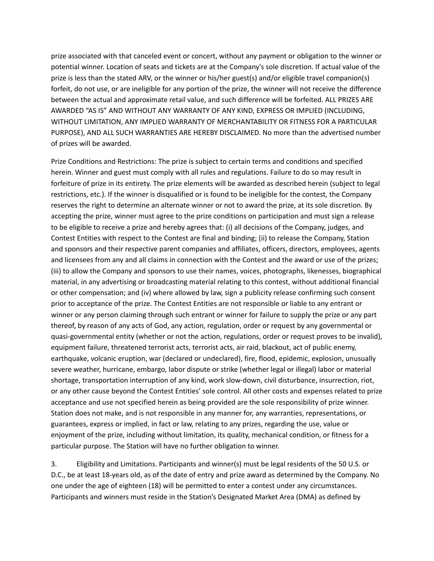prize associated with that canceled event or concert, without any payment or obligation to the winner or potential winner. Location of seats and tickets are at the Company's sole discretion. If actual value of the prize is less than the stated ARV, or the winner or his/her guest(s) and/or eligible travel companion(s) forfeit, do not use, or are ineligible for any portion of the prize, the winner will not receive the difference between the actual and approximate retail value, and such difference will be forfeited. ALL PRIZES ARE AWARDED "AS IS" AND WITHOUT ANY WARRANTY OF ANY KIND, EXPRESS OR IMPLIED (INCLUDING, WITHOUT LIMITATION, ANY IMPLIED WARRANTY OF MERCHANTABILITY OR FITNESS FOR A PARTICULAR PURPOSE), AND ALL SUCH WARRANTIES ARE HEREBY DISCLAIMED. No more than the advertised number of prizes will be awarded.

Prize Conditions and Restrictions: The prize is subject to certain terms and conditions and specified herein. Winner and guest must comply with all rules and regulations. Failure to do so may result in forfeiture of prize in its entirety. The prize elements will be awarded as described herein (subject to legal restrictions, etc.). If the winner is disqualified or is found to be ineligible for the contest, the Company reserves the right to determine an alternate winner or not to award the prize, at its sole discretion. By accepting the prize, winner must agree to the prize conditions on participation and must sign a release to be eligible to receive a prize and hereby agrees that: (i) all decisions of the Company, judges, and Contest Entities with respect to the Contest are final and binding; (ii) to release the Company, Station and sponsors and their respective parent companies and affiliates, officers, directors, employees, agents and licensees from any and all claims in connection with the Contest and the award or use of the prizes; (iii) to allow the Company and sponsors to use their names, voices, photographs, likenesses, biographical material, in any advertising or broadcasting material relating to this contest, without additional financial or other compensation; and (iv) where allowed by law, sign a publicity release confirming such consent prior to acceptance of the prize. The Contest Entities are not responsible or liable to any entrant or winner or any person claiming through such entrant or winner for failure to supply the prize or any part thereof, by reason of any acts of God, any action, regulation, order or request by any governmental or quasi-governmental entity (whether or not the action, regulations, order or request proves to be invalid), equipment failure, threatened terrorist acts, terrorist acts, air raid, blackout, act of public enemy, earthquake, volcanic eruption, war (declared or undeclared), fire, flood, epidemic, explosion, unusually severe weather, hurricane, embargo, labor dispute or strike (whether legal or illegal) labor or material shortage, transportation interruption of any kind, work slow-down, civil disturbance, insurrection, riot, or any other cause beyond the Contest Entities' sole control. All other costs and expenses related to prize acceptance and use not specified herein as being provided are the sole responsibility of prize winner. Station does not make, and is not responsible in any manner for, any warranties, representations, or guarantees, express or implied, in fact or law, relating to any prizes, regarding the use, value or enjoyment of the prize, including without limitation, its quality, mechanical condition, or fitness for a particular purpose. The Station will have no further obligation to winner.

3. Eligibility and Limitations. Participants and winner(s) must be legal residents of the 50 U.S. or D.C., be at least 18-years old, as of the date of entry and prize award as determined by the Company. No one under the age of eighteen (18) will be permitted to enter a contest under any circumstances. Participants and winners must reside in the Station's Designated Market Area (DMA) as defined by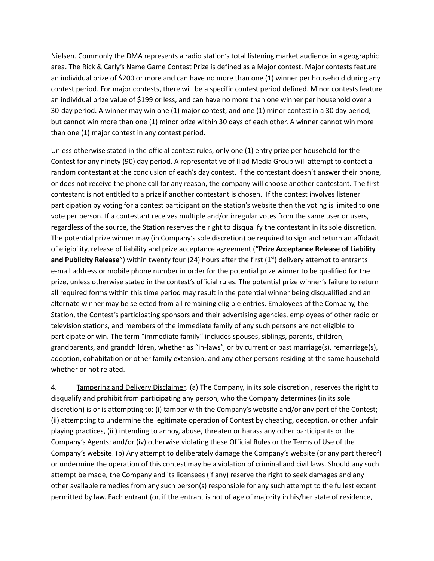Nielsen. Commonly the DMA represents a radio station's total listening market audience in a geographic area. The Rick & Carly's Name Game Contest Prize is defined as a Major contest. Major contests feature an individual prize of \$200 or more and can have no more than one (1) winner per household during any contest period. For major contests, there will be a specific contest period defined. Minor contests feature an individual prize value of \$199 or less, and can have no more than one winner per household over a 30-day period. A winner may win one (1) major contest, and one (1) minor contest in a 30 day period, but cannot win more than one (1) minor prize within 30 days of each other. A winner cannot win more than one (1) major contest in any contest period.

Unless otherwise stated in the official contest rules, only one (1) entry prize per household for the Contest for any ninety (90) day period. A representative of Iliad Media Group will attempt to contact a random contestant at the conclusion of each's day contest. If the contestant doesn't answer their phone, or does not receive the phone call for any reason, the company will choose another contestant. The first contestant is not entitled to a prize if another contestant is chosen. If the contest involves listener participation by voting for a contest participant on the station's website then the voting is limited to one vote per person. If a contestant receives multiple and/or irregular votes from the same user or users, regardless of the source, the Station reserves the right to disqualify the contestant in its sole discretion. The potential prize winner may (in Company's sole discretion) be required to sign and return an affidavit of eligibility, release of liability and prize acceptance agreement (**"Prize Acceptance Release of Liability** and Publicity Release") within twenty four (24) hours after the first (1<sup>st</sup>) delivery attempt to entrants e-mail address or mobile phone number in order for the potential prize winner to be qualified for the prize, unless otherwise stated in the contest's official rules. The potential prize winner's failure to return all required forms within this time period may result in the potential winner being disqualified and an alternate winner may be selected from all remaining eligible entries. Employees of the Company, the Station, the Contest's participating sponsors and their advertising agencies, employees of other radio or television stations, and members of the immediate family of any such persons are not eligible to participate or win. The term "immediate family" includes spouses, siblings, parents, children, grandparents, and grandchildren, whether as "in-laws", or by current or past marriage(s), remarriage(s), adoption, cohabitation or other family extension, and any other persons residing at the same household whether or not related.

4. Tampering and Delivery Disclaimer. (a) The Company, in its sole discretion, reserves the right to disqualify and prohibit from participating any person, who the Company determines (in its sole discretion) is or is attempting to: (i) tamper with the Company's website and/or any part of the Contest; (ii) attempting to undermine the legitimate operation of Contest by cheating, deception, or other unfair playing practices, (iii) intending to annoy, abuse, threaten or harass any other participants or the Company's Agents; and/or (iv) otherwise violating these Official Rules or the Terms of Use of the Company's website. (b) Any attempt to deliberately damage the Company's website (or any part thereof) or undermine the operation of this contest may be a violation of criminal and civil laws. Should any such attempt be made, the Company and its licensees (if any) reserve the right to seek damages and any other available remedies from any such person(s) responsible for any such attempt to the fullest extent permitted by law. Each entrant (or, if the entrant is not of age of majority in his/her state of residence,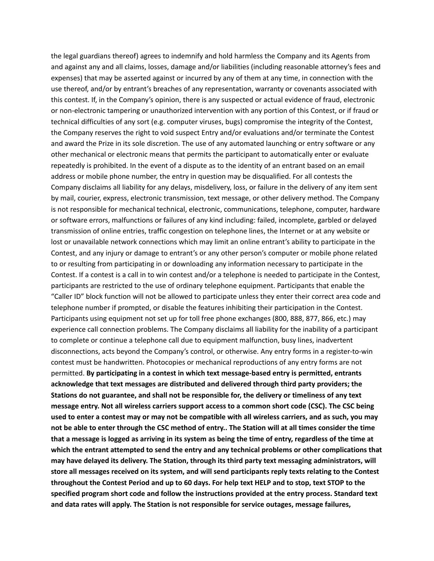the legal guardians thereof) agrees to indemnify and hold harmless the Company and its Agents from and against any and all claims, losses, damage and/or liabilities (including reasonable attorney's fees and expenses) that may be asserted against or incurred by any of them at any time, in connection with the use thereof, and/or by entrant's breaches of any representation, warranty or covenants associated with this contest. If, in the Company's opinion, there is any suspected or actual evidence of fraud, electronic or non-electronic tampering or unauthorized intervention with any portion of this Contest, or if fraud or technical difficulties of any sort (e.g. computer viruses, bugs) compromise the integrity of the Contest, the Company reserves the right to void suspect Entry and/or evaluations and/or terminate the Contest and award the Prize in its sole discretion. The use of any automated launching or entry software or any other mechanical or electronic means that permits the participant to automatically enter or evaluate repeatedly is prohibited. In the event of a dispute as to the identity of an entrant based on an email address or mobile phone number, the entry in question may be disqualified. For all contests the Company disclaims all liability for any delays, misdelivery, loss, or failure in the delivery of any item sent by mail, courier, express, electronic transmission, text message, or other delivery method. The Company is not responsible for mechanical technical, electronic, communications, telephone, computer, hardware or software errors, malfunctions or failures of any kind including: failed, incomplete, garbled or delayed transmission of online entries, traffic congestion on telephone lines, the Internet or at any website or lost or unavailable network connections which may limit an online entrant's ability to participate in the Contest, and any injury or damage to entrant's or any other person's computer or mobile phone related to or resulting from participating in or downloading any information necessary to participate in the Contest. If a contest is a call in to win contest and/or a telephone is needed to participate in the Contest, participants are restricted to the use of ordinary telephone equipment. Participants that enable the "Caller ID" block function will not be allowed to participate unless they enter their correct area code and telephone number if prompted, or disable the features inhibiting their participation in the Contest. Participants using equipment not set up for toll free phone exchanges (800, 888, 877, 866, etc.) may experience call connection problems. The Company disclaims all liability for the inability of a participant to complete or continue a telephone call due to equipment malfunction, busy lines, inadvertent disconnections, acts beyond the Company's control, or otherwise. Any entry forms in a register-to-win contest must be handwritten. Photocopies or mechanical reproductions of any entry forms are not permitted. **By participating in a contest in which text message-based entry is permitted, entrants acknowledge that text messages are distributed and delivered through third party providers; the Stations do not guarantee, and shall not be responsible for, the delivery or timeliness of any text message entry. Not all wireless carriers support access to a common short code (CSC). The CSC being** used to enter a contest may or may not be compatible with all wireless carriers, and as such, you may not be able to enter through the CSC method of entry.. The Station will at all times consider the time that a message is logged as arriving in its system as being the time of entry, regardless of the time at **which the entrant attempted to send the entry and any technical problems or other complications that may have delayed its delivery. The Station, through its third party text messaging administrators, will store all messages received on its system, and will send participants reply texts relating to the Contest** throughout the Contest Period and up to 60 days. For help text HELP and to stop, text STOP to the **specified program short code and follow the instructions provided at the entry process. Standard text and data rates will apply. The Station is not responsible for service outages, message failures,**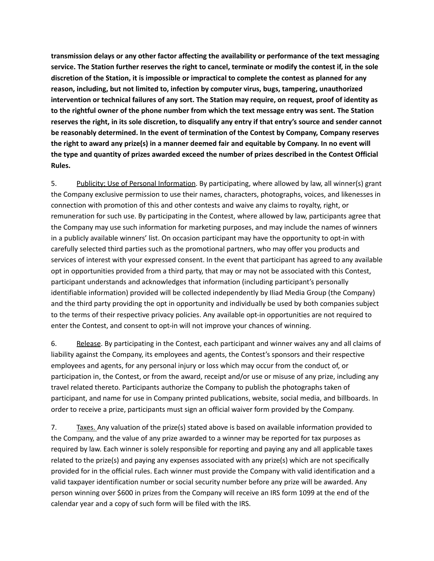**transmission delays or any other factor affecting the availability or performance of the text messaging** service. The Station further reserves the right to cancel, terminate or modify the contest if, in the sole **discretion of the Station, it is impossible or impractical to complete the contest as planned for any reason, including, but not limited to, infection by computer virus, bugs, tampering, unauthorized intervention or technical failures of any sort. The Station may require, on request, proof of identity as to the rightful owner of the phone number from which the text message entry was sent. The Station** reserves the right, in its sole discretion, to disqualify any entry if that entry's source and sender cannot **be reasonably determined. In the event of termination of the Contest by Company, Company reserves** the right to award any prize(s) in a manner deemed fair and equitable by Company. In no event will **the type and quantity of prizes awarded exceed the number of prizes described in the Contest Official Rules.**

5. Publicity; Use of Personal Information. By participating, where allowed by law, all winner(s) grant the Company exclusive permission to use their names, characters, photographs, voices, and likenesses in connection with promotion of this and other contests and waive any claims to royalty, right, or remuneration for such use. By participating in the Contest, where allowed by law, participants agree that the Company may use such information for marketing purposes, and may include the names of winners in a publicly available winners' list. On occasion participant may have the opportunity to opt-in with carefully selected third parties such as the promotional partners, who may offer you products and services of interest with your expressed consent. In the event that participant has agreed to any available opt in opportunities provided from a third party, that may or may not be associated with this Contest, participant understands and acknowledges that information (including participant's personally identifiable information) provided will be collected independently by Iliad Media Group (the Company) and the third party providing the opt in opportunity and individually be used by both companies subject to the terms of their respective privacy policies. Any available opt-in opportunities are not required to enter the Contest, and consent to opt-in will not improve your chances of winning.

6. Release. By participating in the Contest, each participant and winner waives any and all claims of liability against the Company, its employees and agents, the Contest's sponsors and their respective employees and agents, for any personal injury or loss which may occur from the conduct of, or participation in, the Contest, or from the award, receipt and/or use or misuse of any prize, including any travel related thereto. Participants authorize the Company to publish the photographs taken of participant, and name for use in Company printed publications, website, social media, and billboards. In order to receive a prize, participants must sign an official waiver form provided by the Company.

7. Taxes. Any valuation of the prize(s) stated above is based on available information provided to the Company, and the value of any prize awarded to a winner may be reported for tax purposes as required by law. Each winner is solely responsible for reporting and paying any and all applicable taxes related to the prize(s) and paying any expenses associated with any prize(s) which are not specifically provided for in the official rules. Each winner must provide the Company with valid identification and a valid taxpayer identification number or social security number before any prize will be awarded. Any person winning over \$600 in prizes from the Company will receive an IRS form 1099 at the end of the calendar year and a copy of such form will be filed with the IRS.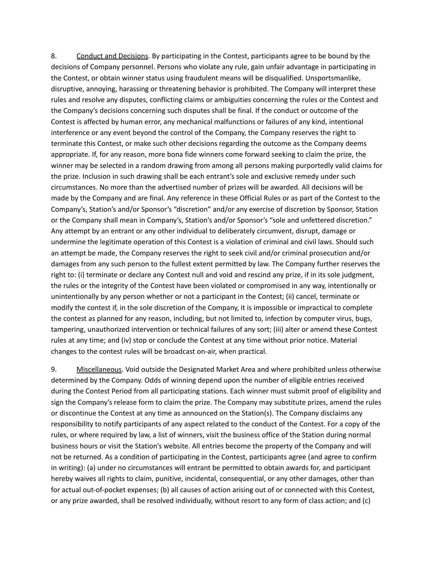8. Conduct and Decisions. By participating in the Contest, participants agree to be bound by the decisions of Company personnel. Persons who violate any rule, gain unfair advantage in participating in the Contest, or obtain winner status using fraudulent means will be disqualified. Unsportsmanlike, disruptive, annoying, harassing or threatening behavior is prohibited. The Company will interpret these rules and resolve any disputes, conflicting claims or ambiguities concerning the rules or the Contest and the Company's decisions concerning such disputes shall be final. If the conduct or outcome of the Contest is affected by human error, any mechanical malfunctions or failures of any kind, intentional interference or any event beyond the control of the Company, the Company reserves the right to terminate this Contest, or make such other decisions regarding the outcome as the Company deems appropriate. If, for any reason, more bona fide winners come forward seeking to claim the prize, the winner may be selected in a random drawing from among all persons making purportedly valid claims for the prize. Inclusion in such drawing shall be each entrant's sole and exclusive remedy under such circumstances. No more than the advertised number of prizes will be awarded. All decisions will be made by the Company and are final. Any reference in these Official Rules or as part of the Contest to the Company's, Station's and/or Sponsor's "discretion" and/or any exercise of discretion by Sponsor, Station or the Company shall mean in Company's, Station's and/or Sponsor's "sole and unfettered discretion." Any attempt by an entrant or any other individual to deliberately circumvent, disrupt, damage or undermine the legitimate operation of this Contest is a violation of criminal and civil laws. Should such an attempt be made, the Company reserves the right to seek civil and/or criminal prosecution and/or damages from any such person to the fullest extent permitted by law. The Company further reserves the right to: (i) terminate or declare any Contest null and void and rescind any prize, if in its sole judgment, the rules or the integrity of the Contest have been violated or compromised in any way, intentionally or unintentionally by any person whether or not a participant in the Contest; (ii) cancel, terminate or modify the contest if, in the sole discretion of the Company, it is impossible or impractical to complete the contest as planned for any reason, including, but not limited to, infection by computer virus, bugs, tampering, unauthorized intervention or technical failures of any sort; (iii) alter or amend these Contest rules at any time; and (iv) stop or conclude the Contest at any time without prior notice. Material changes to the contest rules will be broadcast on-air, when practical.

9. Miscellaneous. Void outside the Designated Market Area and where prohibited unless otherwise determined by the Company. Odds of winning depend upon the number of eligible entries received during the Contest Period from all participating stations. Each winner must submit proof of eligibility and sign the Company's release form to claim the prize. The Company may substitute prizes, amend the rules or discontinue the Contest at any time as announced on the Station(s). The Company disclaims any responsibility to notify participants of any aspect related to the conduct of the Contest. For a copy of the rules, or where required by law, a list of winners, visit the business office of the Station during normal business hours or visit the Station's website. All entries become the property of the Company and will not be returned. As a condition of participating in the Contest, participants agree (and agree to confirm in writing): (a) under no circumstances will entrant be permitted to obtain awards for, and participant hereby waives all rights to claim, punitive, incidental, consequential, or any other damages, other than for actual out-of-pocket expenses; (b) all causes of action arising out of or connected with this Contest, or any prize awarded, shall be resolved individually, without resort to any form of class action; and (c)